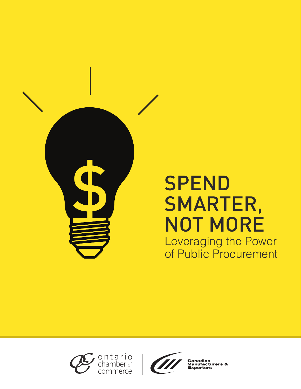

# **SPEND** SMARTER, NOT MORE Leveraging the Power of Public Procurement





**Manufacturers &**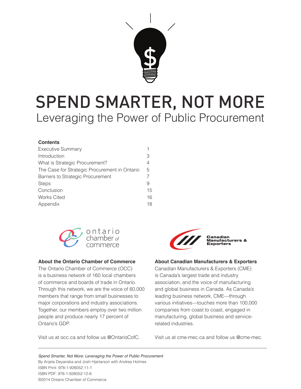

# SPEND SMARTER, NOT MORE Leveraging the Power of Public Procurement

#### **Contents**

| <b>Executive Summary</b>                      |    |
|-----------------------------------------------|----|
| Introduction                                  | 3  |
| What is Strategic Procurement?                | 4  |
| The Case for Strategic Procurement in Ontario | 5  |
| Barriers to Strategic Procurement             |    |
| <b>Steps</b>                                  | 9  |
| Conclusion                                    | 15 |
| <b>Works Cited</b>                            | 16 |
| Appendix                                      | 18 |



#### **About the Ontario Chamber of Commerce**

The Ontario Chamber of Commerce (OCC) is a business network of 160 local chambers of commerce and boards of trade in Ontario. Through this network, we are the voice of 60,000 members that range from small businesses to major corporations and industry associations. Together, our members employ over two million people and produce nearly 17 percent of Ontario's GDP.

Visit us at occ.ca and follow us @OntarioCofC.



#### **About Canadian Manufacturers & Exporters**

Canadian Manufacturers & Exporters (CME) is Canada's largest trade and industry association, and the voice of manufacturing and global business in Canada. As Canada's leading business network, CME—through various initiatives—touches more than 100,000 companies from coast to coast, engaged in manufacturing, global business and servicerelated industries.

Visit us at cme-mec.ca and follow us @cme-mec.

*Spend Smarter, Not More: Leveraging the Power of Public Procurement* By Anjela Deyanska and Josh Hjartarson with Andrea Holmes ISBN Print: 978-1-928052-11-1 ISBN PDF: 978-1-928052-12-8 ©2014 Ontario Chamber of Commerce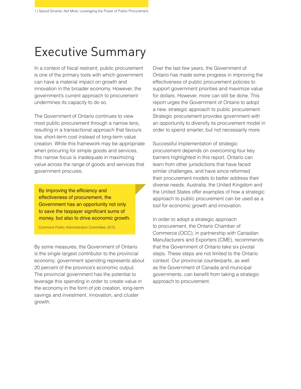## Executive Summary

In a context of fiscal restraint, public procurement is one of the primary tools with which government can have a material impact on growth and innovation in the broader economy. However, the government's current approach to procurement undermines its capacity to do so.

The Government of Ontario continues to view most public procurement through a narrow lens, resulting in a transactional approach that favours low, short-term cost instead of long-term value creation. While this framework may be appropriate when procuring for simple goods and services, this narrow focus is inadequate in maximizing value across the range of goods and services that government procures.

By improving the efficiency and effectiveness of procurement, the Government has an opportunity not only to save the taxpayer significant sums of money, but also to drive economic growth.

Commons Public Administration Committee, 2013

By some measures, the Government of Ontario is the single largest contributor to the provincial economy; government spending represents about 20 percent of the province's economic output. The provincial government has the potential to leverage this spending in order to create value in the economy in the form of job creation, long-term savings and investment, innovation, and cluster growth.

Over the last few years, the Government of Ontario has made some progress in improving the effectiveness of public procurement policies to support government priorities and maximize value for dollars. However, more can still be done. This report urges the Government of Ontario to adopt a new, strategic approach to public procurement. Strategic procurement provides government with an opportunity to diversify its procurement model in order to spend smarter, but not necessarily more.

Successful implementation of strategic procurement depends on overcoming four key barriers highlighted in this report. Ontario can learn from other jurisdictions that have faced similar challenges, and have since reformed their procurement models to better address their diverse needs. Australia, the United Kingdom and the United States offer examples of how a strategic approach to public procurement can be used as a tool for economic growth and innovation.

In order to adopt a strategic approach to procurement, the Ontario Chamber of Commerce (OCC), in partnership with Canadian Manufacturers and Exporters (CME), recommends that the Government of Ontario take six pivotal steps. These steps are not limited to the Ontario context. Our provincial counterparts, as well as the Government of Canada and municipal governments, can benefit from taking a strategic approach to procurement.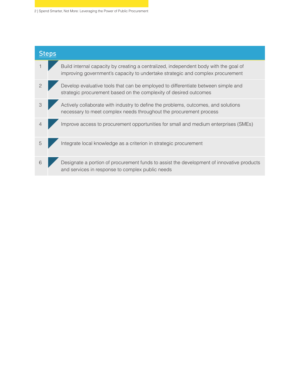2 | Spend Smarter, Not More: Leveraging the Power of Public Procurement

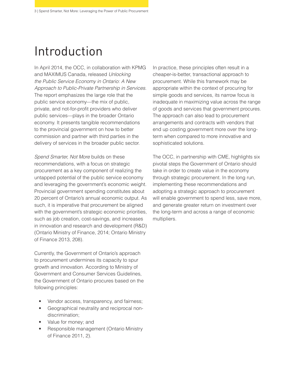## Introduction

In April 2014, the OCC, in collaboration with KPMG and MAXIMUS Canada, released *Unlocking the Public Service Economy in Ontario: A New Approach to Public-Private Partnership in Services*. The report emphasizes the large role that the public service economy—the mix of public, private, and not-for-profit providers who deliver public services—plays in the broader Ontario economy. It presents tangible recommendations to the provincial government on how to better commission and partner with third parties in the delivery of services in the broader public sector.

*Spend Smarter, Not More* builds on these recommendations, with a focus on strategic procurement as a key component of realizing the untapped potential of the public service economy and leveraging the government's economic weight. Provincial government spending constitutes about 20 percent of Ontario's annual economic output. As such, it is imperative that procurement be aligned with the government's strategic economic priorities, such as job creation, cost-savings, and increases in innovation and research and development (R&D) (Ontario Ministry of Finance, 2014; Ontario Ministry of Finance 2013, 208).

Currently, the Government of Ontario's approach to procurement undermines its capacity to spur growth and innovation. According to Ministry of Government and Consumer Services Guidelines, the Government of Ontario procures based on the following principles:

- Vendor access, transparency, and fairness;
- Geographical neutrality and reciprocal nondiscrimination;
- Value for money; and
- Responsible management (Ontario Ministry of Finance 2011, 2).

In practice, these principles often result in a cheaper-is-better, transactional approach to procurement. While this framework may be appropriate within the context of procuring for simple goods and services, its narrow focus is inadequate in maximizing value across the range of goods and services that government procures. The approach can also lead to procurement arrangements and contracts with vendors that end up costing government more over the longterm when compared to more innovative and sophisticated solutions.

The OCC, in partnership with CME, highlights six pivotal steps the Government of Ontario should take in order to create value in the economy through strategic procurement. In the long run, implementing these recommendations and adopting a strategic approach to procurement will enable government to spend less, save more, and generate greater return on investment over the long-term and across a range of economic multipliers.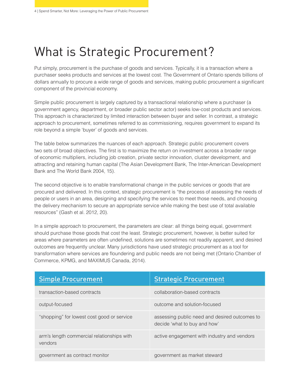# What is Strategic Procurement?

Put simply, procurement is the purchase of goods and services. Typically, it is a transaction where a purchaser seeks products and services at the lowest cost. The Government of Ontario spends billions of dollars annually to procure a wide range of goods and services, making public procurement a significant component of the provincial economy.

Simple public procurement is largely captured by a transactional relationship where a purchaser (a government agency, department, or broader public sector actor) seeks low-cost products and services. This approach is characterized by limited interaction between buyer and seller. In contrast, a strategic approach to procurement, sometimes referred to as commissioning, requires government to expand its role beyond a simple 'buyer' of goods and services.

The table below summarizes the nuances of each approach. Strategic public procurement covers two sets of broad objectives. The first is to maximize the return on investment across a broader range of economic multipliers, including job creation, private sector innovation, cluster development, and attracting and retaining human capital (The Asian Development Bank, The Inter-American Development Bank and The World Bank 2004, 15).

The second objective is to enable transformational change in the public services or goods that are procured and delivered. In this context, strategic procurement is "the process of assessing the needs of people or users in an area, designing and specifying the services to meet those needs, and choosing the delivery mechanism to secure an appropriate service while making the best use of total available resources" (Gash et al. 2012, 20).

In a simple approach to procurement, the parameters are clear: all things being equal, government should purchase those goods that cost the least. Strategic procurement, however, is better suited for areas where parameters are often undefined, solutions are sometimes not readily apparent, and desired outcomes are frequently unclear. Many jurisdictions have used strategic procurement as a tool for transformation where services are floundering and public needs are not being met (Ontario Chamber of Commerce, KPMG, and MAXIMUS Canada, 2014).

| <b>Simple Procurement</b>                             | <b>Strategic Procurement</b>                                                  |
|-------------------------------------------------------|-------------------------------------------------------------------------------|
| transaction-based contracts                           | collaboration-based contracts                                                 |
| output-focused                                        | outcome and solution-focused                                                  |
| "shopping" for lowest cost good or service            | assessing public need and desired outcomes to<br>decide 'what to buy and how' |
| arm's length commercial relationships with<br>vendors | active engagement with industry and vendors                                   |
| government as contract monitor                        | government as market steward                                                  |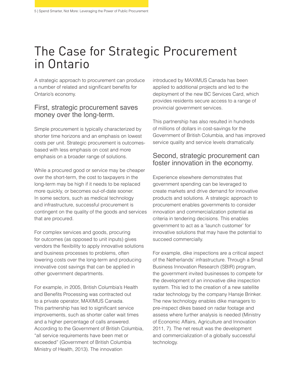## The Case for Strategic Procurement in Ontario

A strategic approach to procurement can produce a number of related and significant benefits for Ontario's economy.

#### First, strategic procurement saves money over the long-term.

Simple procurement is typically characterized by shorter time horizons and an emphasis on lowest costs per unit. Strategic procurement is outcomesbased with less emphasis on cost and more emphasis on a broader range of solutions.

While a procured good or service may be cheaper over the short-term, the cost to taxpayers in the long-term may be high if it needs to be replaced more quickly, or becomes out-of-date sooner. In some sectors, such as medical technology and infrastructure, successful procurement is contingent on the quality of the goods and services that are procured.

For complex services and goods, procuring for outcomes (as opposed to unit inputs) gives vendors the flexibility to apply innovative solutions and business processes to problems, often lowering costs over the long-term and producing innovative cost savings that can be applied in other government departments.

For example, in 2005, British Columbia's Health and Benefits Processing was contracted out to a private operator, MAXIMUS Canada. This partnership has led to significant service improvements, such as shorter caller wait times and a higher percentage of calls answered. According to the Government of British Columbia, "all service requirements have been met or exceeded" (Government of British Columbia Ministry of Health, 2013). The innovation

introduced by MAXIMUS Canada has been applied to additional projects and led to the deployment of the new BC Services Card, which provides residents secure access to a range of provincial government services.

This partnership has also resulted in hundreds of millions of dollars in cost-savings for the Government of British Columbia, and has improved service quality and service levels dramatically.

#### Second, strategic procurement can foster innovation in the economy.

Experience elsewhere demonstrates that government spending can be leveraged to create markets and drive demand for innovative products and solutions. A strategic approach to procurement enables governments to consider innovation and commercialization potential as criteria in tendering decisions. This enables government to act as a 'launch customer' for innovative solutions that may have the potential to succeed commercially.

For example, dike inspections are a critical aspect of the Netherlands' infrastructure. Through a Small Business Innovation Research (SBIR) program, the government invited businesses to compete for the development of an innovative dike inspection system. This led to the creation of a new satellite radar technology by the company Hansje Brinker. The new technology enables dike managers to pre-inspect dikes based on radar footage and assess where further analysis is needed (Ministry of Economic Affairs, Agriculture and Innovation 2011, 7). The net result was the development and commercialization of a globally successful technology.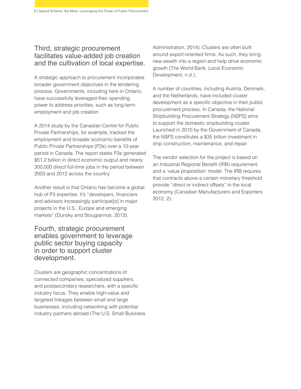### Third, strategic procurement facilitates value-added job creation and the cultivation of local expertise.

A strategic approach to procurement incorporates broader government objectives in the tendering process. Governments, including here in Ontario, have successfully leveraged their spending power to address priorities, such as long-term employment and job creation.

A 2014 study by the Canadian Centre for Public Private Partnerships, for example, tracked the employment and broader economic benefits of Public Private Partnerships (P3s) over a 10-year period in Canada. The report states P3s generated \$51.2 billion in direct economic output and nearly 300,000 direct full-time jobs in the period between 2003 and 2012 across the country.

Another result is that Ontario has become a global hub of P3 expertise. It's "developers, financiers and advisors increasingly participat[e] in major projects in the U.S., Europe and emerging markets" (Dunsky and Stougiannos, 2013).

Fourth, strategic procurement enables government to leverage public sector buying capacity in order to support cluster development.

Clusters are geographic concentrations of connected companies, specialized suppliers, and postsecondary researchers, with a specific industry focus. They enable high-value and targeted linkages between small and large businesses, including networking with potential industry partners abroad (The U.S. Small Business Administration, 2014). Clusters are often built around export-oriented firms. As such, they bring new wealth into a region and help drive economic growth (The World Bank, Local Economic Development, n.d.).

A number of countries, including Austria, Denmark, and the Netherlands, have included cluster development as a specific objective in their public procurement process. In Canada, the National Shipbuilding Procurement Strategy (NSPS) aims to support the domestic shipbuilding cluster. Launched in 2010 by the Government of Canada, the NSPS constitutes a \$35 billion investment in ship construction, maintenance, and repair.

The vendor selection for the project is based on an Industrial Regional Benefit (IRB) requirement and a 'value proposition' model. The IRB requires that contracts above a certain monetary threshold provide "direct or indirect offsets" in the local economy (Canadian Manufacturers and Exporters 2012, 2).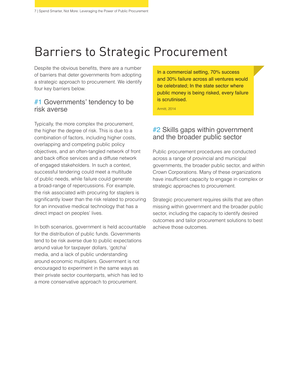# Barriers to Strategic Procurement

Despite the obvious benefits, there are a number of barriers that deter governments from adopting a strategic approach to procurement. We identify four key barriers below.

### #1 Governments' tendency to be risk averse

Typically, the more complex the procurement, the higher the degree of risk. This is due to a combination of factors, including higher costs, overlapping and competing public policy objectives, and an often-tangled network of front and back office services and a diffuse network of engaged stakeholders. In such a context, successful tendering could meet a multitude of public needs, while failure could generate a broad-range of repercussions. For example, the risk associated with procuring for staplers is significantly lower than the risk related to procuring for an innovative medical technology that has a direct impact on peoples' lives.

In both scenarios, government is held accountable for the distribution of public funds. Governments tend to be risk averse due to public expectations around value for taxpayer dollars, 'gotcha' media, and a lack of public understanding around economic multipliers. Government is not encouraged to experiment in the same ways as their private sector counterparts, which has led to a more conservative approach to procurement.

In a commercial setting, 70% success and 30% failure across all ventures would be celebrated; In the state sector where public money is being risked, every failure is scrutinised.

Armitt, 2014

### #2 Skills gaps within government and the broader public sector

Public procurement procedures are conducted across a range of provincial and municipal governments, the broader public sector, and within Crown Corporations. Many of these organizations have insufficient capacity to engage in complex or strategic approaches to procurement.

Strategic procurement requires skills that are often missing within government and the broader public sector, including the capacity to identify desired outcomes and tailor procurement solutions to best achieve those outcomes.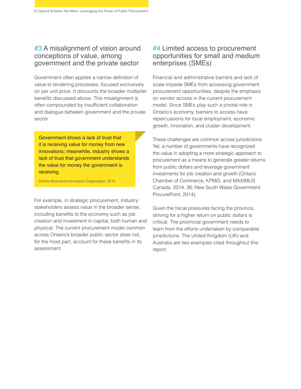### #3 A misalignment of vision around conceptions of value, among government and the private sector

Government often applies a narrow definition of value to tendering processes, focused exclusively on per unit price. It discounts the broader multiplier benefits discussed above. This misalignment is often compounded by insufficient collaboration and dialogue between government and the private sector.

Government shows a lack of trust that it is receiving value for money from new innovations; meanwhile, industry shows a lack of trust that government understands the value for money the government is receiving.

Ontario Bioscience Innovation Organization, 2013

For example, in strategic procurement, industry stakeholders assess value in the broader sense, including benefits to the economy such as job creation and investment in capital, both human and physical. The current procurement model common across Ontario's broader public sector does not, for the most part, account for these benefits in its assessment.

### #4 Limited access to procurement opportunities for small and medium enterprises (SMEs)

Financial and administrative barriers and lack of scale impede SMEs from accessing government procurement opportunities, despite the emphasis on vendor access in the current procurement model. Since SMEs play such a pivotal role in Ontario's economy, barriers to access have repercussions for local employment, economic growth, innovation, and cluster development.

These challenges are common across jurisdictions. Yet, a number of governments have recognized the value in adopting a more strategic approach to procurement as a means to generate greater returns from public dollars and leverage government investments for job creation and growth (Ontario Chamber of Commerce, KPMG, and MAXIMUS Canada, 2014, 26; New South Wales Government: ProcurePoint, 2014).

Given the fiscal pressures facing the province, striving for a higher return on public dollars is critical. The provincial government needs to learn from the efforts undertaken by comparable jurisdictions. The United Kingdom (UK) and Australia are two examples cited throughout this report.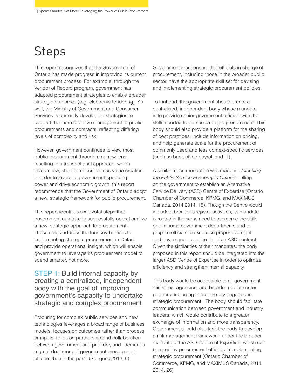# Steps

This report recognizes that the Government of Ontario has made progress in improving its current procurement process. For example, through the Vendor of Record program, government has adapted procurement strategies to enable broader strategic outcomes (e.g. electronic tendering). As well, the Ministry of Government and Consumer Services is currently developing strategies to support the more effective management of public procurements and contracts, reflecting differing levels of complexity and risk.

However, government continues to view most public procurement through a narrow lens, resulting in a transactional approach, which favours low, short-term cost versus value creation. In order to leverage government spending power and drive economic growth, this report recommends that the Government of Ontario adopt a new, strategic framework for public procurement.

This report identifies six pivotal steps that government can take to successfully operationalize a new, strategic approach to procurement. These steps address the four key barriers to implementing strategic procurement in Ontario and provide operational insight, which will enable government to leverage its procurement model to spend smarter, not more.

#### STEP 1: Build internal capacity by creating a centralized, independent body with the goal of improving government's capacity to undertake strategic and complex procurement

Procuring for complex public services and new technologies leverages a broad range of business models, focuses on outcomes rather than process or inputs, relies on partnership and collaboration between government and provider, and "demands a great deal more of government procurement officers than in the past" (Sturgess 2012, 9).

Government must ensure that officials in charge of procurement, including those in the broader public sector, have the appropriate skill set for devising and implementing strategic procurement policies.

To that end, the government should create a centralised, independent body whose mandate is to provide senior government officials with the skills needed to pursue strategic procurement. This body should also provide a platform for the sharing of best practices, include information on pricing, and help generate scale for the procurement of commonly used and less context-specific services (such as back office payroll and IT).

A similar recommendation was made in *Unlocking the Public Service Economy in Ontario*, calling on the government to establish an Alternative Service Delivery (ASD) Centre of Expertise (Ontario Chamber of Commerce, KPMG, and MAXIMUS Canada, 2014 2014, 18). Though the Centre would include a broader scope of activities, its mandate is rooted in the same need to overcome the skills gap in some government departments and to prepare officials to excercise proper oversight and governance over the life of an ASD contract. Given the similarities of their mandates, the body proposed in this report should be integrated into the larger ASD Centre of Expertise in order to optimize efficiency and strengthen internal capacity.

This body would be accessible to all government ministries, agencies, and broader public sector partners, including those already engaged in strategic procurement.. The body should facilitate communication between government and industry leaders, which would contribute to a greater exchange of information and more transparency. Government should also task the body to develop a risk management framework, under the broader mandate of the ASD Centre of Expertise, which can be used by procurement officials in implementing strategic procurement (Ontario Chamber of Commerce, KPMG, and MAXIMUS Canada, 2014 2014, 26).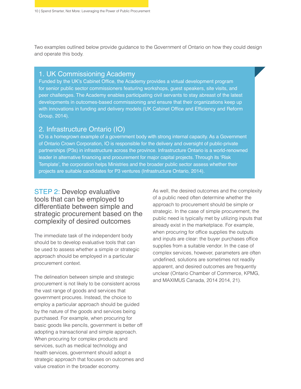Two examples outlined below provide guidance to the Government of Ontario on how they could design and operate this body.

#### 1. UK Commissioning Academy

Funded by the UK's Cabinet Office, the Academy provides a virtual development program for senior public sector commissioners featuring workshops, guest speakers, site visits, and peer challenges. The Academy enables participating civil servants to stay abreast of the latest developments in outcomes-based commissioning and ensure that their organizations keep up with innovations in funding and delivery models (UK Cabinet Office and Efficiency and Reform Group, 2014).

#### 2. Infrastructure Ontario (IO)

IO is a homegrown example of a government body with strong internal capacity. As a Government of Ontario Crown Corporation, IO is responsible for the delivery and oversight of public-private partnerships (P3s) in infrastructure across the province. Infrastructure Ontario is a world-renowned leader in alternative financing and procurement for major capital projects. Through its 'Risk Template', the corporation helps Ministries and the broader public sector assess whether their projects are suitable candidates for P3 ventures (Infrastructure Ontario, 2014).

### STEP 2: Develop evaluative tools that can be employed to differentiate between simple and strategic procurement based on the complexity of desired outcomes

The immediate task of the independent body should be to develop evaluative tools that can be used to assess whether a simple or strategic approach should be employed in a particular procurement context.

The delineation between simple and strategic procurement is not likely to be consistent across the vast range of goods and services that government procures. Instead, the choice to employ a particular approach should be guided by the nature of the goods and services being purchased. For example, when procuring for basic goods like pencils, government is better off adopting a transactional and simple approach. When procuring for complex products and services, such as medical technology and health services, government should adopt a strategic approach that focuses on outcomes and value creation in the broader economy.

As well, the desired outcomes and the complexity of a public need often determine whether the approach to procurement should be simple or strategic. In the case of simple procurement, the public need is typically met by utilizing inputs that already exist in the marketplace. For example, when procuring for office supplies the outputs and inputs are clear: the buyer purchases office supplies from a suitable vendor. In the case of complex services, however, parameters are often undefined, solutions are sometimes not readily apparent, and desired outcomes are frequently unclear (Ontario Chamber of Commerce, KPMG, and MAXIMUS Canada, 2014 2014, 21).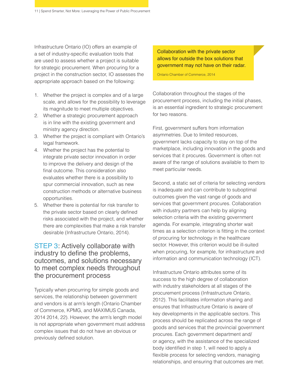Infrastructure Ontario (IO) offers an example of a set of industry-specific evaluation tools that are used to assess whether a project is suitable for strategic procurement. When procuring for a project in the construction sector, IO assesses the appropriate approach based on the following:

- 1. Whether the project is complex and of a large scale, and allows for the possibility to leverage its magnitude to meet multiple objectives.
- 2. Whether a strategic procurement approach is in line with the existing government and ministry agency direction.
- 3. Whether the project is compliant with Ontario's legal framework.
- 4. Whether the project has the potential to integrate private sector innovation in order to improve the delivery and design of the final outcome. This consideration also evaluates whether there is a possibility to spur commercial innovation, such as new construction methods or alternative business opportunities.
- 5. Whether there is potential for risk transfer to the private sector based on clearly defined risks associated with the project, and whether there are complexities that make a risk transfer desirable (Infrastructure Ontario, 2014).

#### STEP 3: Actively collaborate with industry to define the problems, outcomes, and solutions necessary to meet complex needs throughout the procurement process

Typically when procurring for simple goods and services, the relationship between government and vendors is at arm's length (Ontario Chamber of Commerce, KPMG, and MAXIMUS Canada, 2014 2014, 22). However, the arm's length model is not appropriate when government must address complex issues that do not have an obvious or previously defined solution.

Collaboration with the private sector allows for outside the box solutions that government may not have on their radar.

Ontario Chamber of Commerce, 2014

Collaboration throughout the stages of the procurement process, including the initial phases, is an essential ingredient to strategic procurement for two reasons.

First, government suffers from information asymmetries. Due to limited resources, government lacks capacity to stay on top of the marketplace, including innovation in the goods and services that it procures. Government is often not aware of the range of solutions available to them to meet particular needs.

Second, a static set of criteria for selecting vendors is inadequate and can contribute to suboptimal outcomes given the vast range of goods and services that government procures. Collaboration with industry partners can help by aligning selection criteria with the existing government agenda. For example, integrating shorter wait times as a selection criterion is fitting in the context of procuring for technology in the healthcare sector. However, this criterion would be ill-suited when procuring, for example, for infrastructure and information and communication technology (ICT).

Infrastructure Ontario attributes some of its success to the high degree of collaboration with industry stakeholders at all stages of the procurement process (Infrastructure Ontario, 2012). This facilitates information sharing and ensures that Infrastructure Ontario is aware of key developments in the applicable sectors. This process should be replicated across the range of goods and services that the provincial government procures. Each government department and/ or agency, with the assistance of the specialized body identified in step 1, will need to apply a flexible process for selecting vendors, managing relationships, and ensuring that outcomes are met.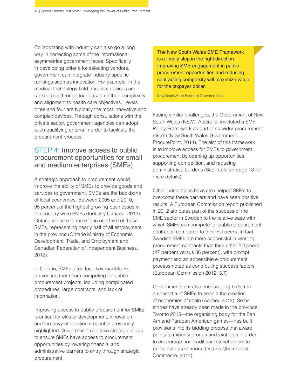Collaborating with industry can also go a long way in correcting some of the informational asymmetries government faces. Specifically in developing criteria for selecting vendors, government can integrate industry-specific rankings such as innovation. For example, in the medical technology field, medical devices are ranked one through four based on their complexity and alignment to health care objectives. Levels three and four are typically the most innovative and complex devices. Through consultations with the private sector, government agencies can adopt such qualifying criteria in order to facilitate the procurement process.

### STEP 4: Improve access to public procurement opportunities for small and medium enterprises (SMEs)

A strategic approach to procurement would improve the ability of SMEs to provide goods and services to government. SMEs are the backbone of local economies. Between 2005 and 2010, 95 percent of the highest growing businesses in the country were SMEs (Industry Canada, 2012). Ontario is home to more than one-third of these SMEs, representing nearly half of all employment in the province (Ontario Ministry of Economic Development, Trade, and Employment and Canadian Federation of Independent Business, 2012).

In Ontario, SMEs often face key roadblocks preventing them from competing for public procurement projects, including complicated procedures, large contracts, and lack of information.

Improving access to public procurement for SMEs is critical for cluster development, innovation, and the bevy of additional benefits previously highlighted. Government can take strategic steps to ensure SMEs have access to procurement opportunities by lowering financial and administrative barriers to entry through strategic procurement.

The New South Wales SME Framework is a timely step in the right direction. Improving SME engagement in public procurement opportunities and reducing contracting complexity will maximize value for the taxpayer dollar.

New South Wales Business Chamber, 2014

Facing similar challenges, the Government of New South Wales (NSW), Australia, instituted a SME Policy Framework as part of its wider procurement reform (New South Wales Government: ProcurePoint, 2014). The aim of this framework is to improve access for SMEs to government procurement by opening up opportunities, supporting competition, and reducing administrative burdens (See Table on page 13 for more details).

Other jurisdictions have also helped SMEs to overcome these barriers and have seen positive results. A European Commission report published in 2012 attributes part of the success of the SME sector in Sweden to the relative ease with which SMEs can compete for public procurement contracts, compared to their EU peers. In fact, Swedish SMEs are more successful in winning procurement contracts than their other EU peers (47 percent versus 38 percent), with prompt payment and an accessible e-procurement process noted as contributing success factors (European Commission 2012, 3,7).

Governments are also encouraging bids from a consortia of SMEs to enable the creation of economies of scale (Ascher, 2013). Some strides have already been made in the province. Toronto 2015—the organizing body for the Pan Am and Parapan American games—has built provisions into its bidding process that award points to minority groups and joint bids in order to encourage non-traditional stakeholders to participate as vendors (Ontario Chamber of Commerce, 2014).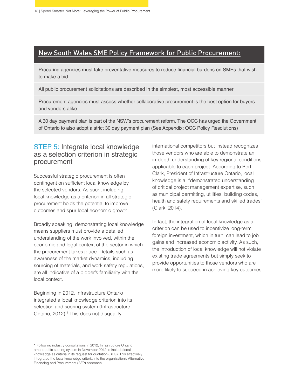### New South Wales SME Policy Framework for Public Procurement:

Procuring agencies must take preventative measures to reduce financial burdens on SMEs that wish to make a bid

All public procurement solicitations are described in the simplest, most accessible manner

Procurement agencies must assess whether collaborative procurement is the best option for buyers and vendors alike

A 30 day payment plan is part of the NSW's procurement reform. The OCC has urged the Government of Ontario to also adopt a strict 30 day payment plan (See Appendix: OCC Policy Resolutions)

### STEP 5: Integrate local knowledge as a selection criterion in strategic procurement

Successful strategic procurement is often contingent on sufficient local knowledge by the selected vendors. As such, including local knowledge as a criterion in all strategic procurement holds the potential to improve outcomes and spur local economic growth.

Broadly speaking, demonstrating local knowledge means suppliers must provide a detailed understanding of the work involved, within the economic and legal context of the sector in which the procurement takes place. Details such as awareness of the market dynamics, including sourcing of materials, and work safety regulations, are all indicative of a bidder's familiarity with the local context.

Beginning in 2012, Infrastructure Ontario integrated a local knowledge criterion into its selection and scoring system (Infrastructure Ontario, 2012).<sup>1</sup> This does not disqualify

international competitors but instead recognizes those vendors who are able to demonstrate an in-depth understanding of key regional conditions applicable to each project. According to Bert Clark, President of Infrastructure Ontario, local knowledge is a, "demonstrated understanding of critical project management expertise, such as municipal permitting, utilities, building codes, health and safety requirements and skilled trades" (Clark, 2014).

In fact, the integration of local knowledge as a criterion can be used to incentivize long-term foreign investment, which in turn, can lead to job gains and increased economic activity. As such, the introduction of local knowledge will not violate existing trade agreements but simply seek to provide opportunities to those vendors who are more likely to succeed in achieving key outcomes.

<sup>1</sup> Following industry consultations in 2012, Infrastructure Ontario amended its scoring system in November 2012 to include local knowledge as criteria in its request for quotation (RFQ). This effectively integrated the local knowledge criteria into the organization's Alternative Financing and Procurement (AFP) approach.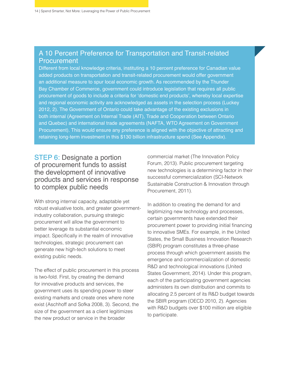#### A 10 Percent Preference for Transportation and Transit-related **Procurement**

Different from local knowledge criteria, instituting a 10 percent preference for Canadian value added products on transportation and transit-related procurement would offer government an additional measure to spur local economic growth. As recommended by the Thunder Bay Chamber of Commerce, government could introduce legislation that requires all public procurement of goods to include a criteria for 'domestic end products', whereby local expertise and regional economic activity are acknowledged as assets in the selection process (Luckey 2012, 2). The Government of Ontario could take advantage of the existing exclusions in both internal (Agreement on Internal Trade (AIT), Trade and Cooperation between Ontario and Quebec) and international trade agreements (NAFTA, WTO Agreement on Government Procurement). This would ensure any preference is aligned with the objective of attracting and retaining long-term investment in this \$130 billion infrastructure spend (See Appendix).

### STEP 6: Designate a portion of procurement funds to assist the development of innovative products and services in response to complex public needs

With strong internal capacity, adaptable yet robust evaluative tools, and greater governmentindustry collaboration, pursuing strategic procurement will allow the government to better leverage its substantial economic impact. Specifically in the realm of innovative technologies, strategic procurement can generate new high-tech solutions to meet existing public needs.

The effect of public procurement in this process is two-fold. First, by creating the demand for innovative products and services, the government uses its spending power to steer existing markets and create ones where none exist (Aschhoff and Sofka 2008, 3). Second, the size of the government as a client legitimizes the new product or service in the broader

commercial market (The Innovation Policy Forum, 2013). Public procurement targeting new technologies is a determining factor in their successful commercialization (SCI-Network Sustainable Construction & Innovation through Procurement, 2011).

In addition to creating the demand for and legitimizing new technology and processes, certain governments have extended their procurement power to providing initial financing to innovative SMEs. For example, in the United States, the Small Business Innovation Research (SBIR) program constitutes a three-phase process through which government assists the emergence and commercialization of domestic R&D and technological innovations (United States Government, 2014). Under this program, each of the participating government agencies administers its own distribution and commits to allocating 2.5 percent of its R&D budget towards the SBIR program (OECD 2010, 2). Agencies with R&D budgets over \$100 million are eligible to participate.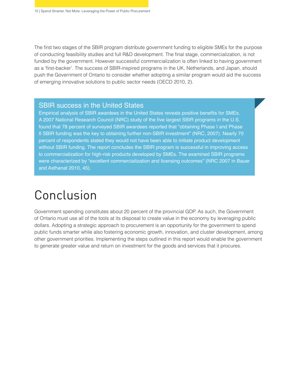The first two stages of the SBIR program distribute government funding to eligible SMEs for the purpose of conducting feasibility studies and full R&D development. The final stage, commercialization, is not funded by the government. However successful commercialization is often linked to having government as a 'first-backer'. The success of SBIR-inspired programs in the UK, Netherlands, and Japan, should push the Government of Ontario to consider whether adopting a similar program would aid the success of emerging innovative solutions to public sector needs (OECD 2010, 2).

#### **SBIR success in the United States**

Empirical analysis of SBIR awardees in the United States reveals positive benefits for SMEs. A 2007 National Research Council (NRC) study of the five largest SBIR programs in the U.S. found that 78 percent of surveyed SBIR awardees reported that "obtaining Phase I and Phase II SBIR funding was the key to obtaining further non-SBIR investment" (NRC, 2007). Nearly 70 percent of respondents stated they would not have been able to initiate product development without SBIR funding. The report concludes the SBIR program is successful in improving access to commercialization for high-risk products developed by SMEs. The examined SBIR programs were characterized by "excellent commercialization and licensing outcomes" (NRC 2007 in Bauer and Asthanat 2010, 45).

# Conclusion

Government spending constitutes about 20 percent of the provincial GDP. As such, the Government of Ontario must use all of the tools at its disposal to create value in the economy by leveraging public dollars. Adopting a strategic approach to procurement is an opportunity for the government to spend public funds smarter while also fostering economic growth, innovation, and cluster development, among other government priorities. Implementing the steps outlined in this report would enable the government to generate greater value and return on investment for the goods and services that it procures.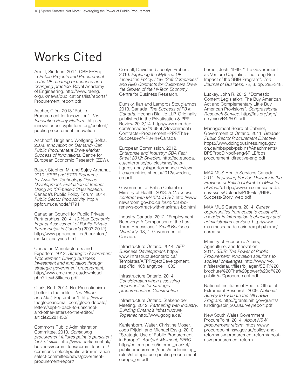## Works Cited

Armitt, Sir John. 2014. CBE FREng In *Public Projects and Procurement in the UK: sharing experience and changing practice*. Royal Academy of Engineering. http://www.raeng. org.uk/news/publications/list/reports/ Procurement\_report.pdf

Ascher, Cléo. 2013."Public Procurement for Innovation". *The Innovation Policy Platform.* https:// innovationpolicyplatform.org/content/ public-procurement-innovation

Aschhoff, Brigit and Wolfgang Sofka. 2008. *Innovation on Demand- Can Public Procurement Drive Market Success of Innovations*. Centre for European Economic Research (ZEW).

Bauer, Stephen M. and Sajay Arthanat. 2010. *SBIR and STTR Programs for Assistive Technology Device Development: Evaluation of Impact*  Using an ICF-based Classification. Canada's Public Policy Forum. 2014. *Public Sector Productivity.* http:// ppforum.ca/node/4791

Canadian Council for Public Private Partnerships. 2014. *10-Year Economic Impact Assessment of Public-Private Partnerships in Canada* (2003-2012). http://www.pppcouncil.ca/bookstore/ market-analyses.html

Canadian Manufacturers and Exporters. 2012. *Strategic Government Procurement: Driving business investment and innovation through strategic government procurement.* http://www.cme-mec.ca/download. php?file=h8tlkaeo.pdf

Clark, Bert. 2014. Not Protectionism [Letter to the editor] *The Globe and Mail,* September 1. http://www. theglobeandmail.com/globe-debate/ letters/sept-1-back-to-unschooland-other-letters-to-the-editor/ article20281450/

Commons Public Administration Committee. 2013. *Continuing procurement failures point to persistent lack of skills*. http://www.parliament.uk/ business/committees/committees-a-z/ commons-select/public-administrationselect-committee/news/govermentprocurement-report/

Connell, David and Jocelyn Probert. 2010. *Exploring the Myths of UK Innovation Policy: How "Soft Companies" and R&D Contracts for Customers Drive the Growth of the Hi-Tech Economy*. Centre for Business Research.

Dunsky, Ilan and Lampros Stougiannos. 2013. Canada: *The Success of P3 in Canada*. Heenan Blaikie LLP. Originally published in the Privatisation & PPP Review 2013/14. http://www.mondaq. com/canada/x/256856/Government+ Contracts+Procurement+PPP/The+ Success+of+P3+in+Canada

European Commission. 2012. *Enterprise and Industry: SBA Fact Sheet 2012: Sweden*. http://ec.europa. eu/enterprise/policies/sme/factsfigures-analysis/performance-review/ files/countries-sheets/2012/sweden\_ en.pdf

Government of British Columbia Ministry of Health. 2013. *B.C. renews contract with MAXIMUS BC*. http://www. newsroom.gov.bc.ca /2013/03 /bcrenews-contract-with-maximus-bc.html

Industry Canada. 2012. "Employment Recovery: A Comparison of the Last Three Recessions." *Small Business Quarterly*. 13, 4. Government of Canada.

Infrastructure Ontario. 2014. *AFP Business Development*. http:// www.infrastructureontario.ca/ Templates/AFPProjectDevelopment. aspx?id=40&langtype=1033

Infrastructure Ontario. 2014. *Consideration when assessing opportunities for strategic procurements in Construction*.

Infrastructure Ontario. Stakeholder Meeting. 2012. *Partnering with Industry: Building Ontario's Infrastructure Together.* http://www.google.ca/

Kahlenborn, Walter, Christine Moser, Joep Frijdal, and Michael Essig. 2010. "Strategic Use of Public Procurement in Europe". *Adelphi, Melmont, PPRC*. http://ec.europa.eu/internal\_market/ publicprocurement/docs/modernising\_ rules/strategic-use-public-procurementeurope\_en.pdf

Lerner, Josh. 1999. "The Government as Venture Capitalist: The Long-Run Impact of the SBIR Program". *The Journal of Business.* 72, 3. pp. 285-318.

Luckey, John R. 2012. "Domestic Content Legislation: The Buy American Act and Complementary Little Buy American Provisions". *Congressional Research Service.* http://fas.org/sgp/ crs/misc/R42501.pdf

Management Board of Cabinet, Government of Ontario. 2011. *Broader Public Sector Procurement Directive*. https://www.doingbusiness.mgs.gov. on.ca/mbs/psb/psb.nsf/Attachments/ BPSProcDir-pdf-eng/\$FILE/bps\_ procurement\_directive-eng.pdf

MAXIMUS Health Services Canada. 2011. *Improving Service Delivery in the Province of British Columbia's Ministry of Health.* http://www.maximuscanada. ca/assets/Uploads/PDFFiles/HIBC-Success-Story\_web.pdf

MAXIMUS Careers. 2014. *Career opportunities from coast to coast with a leader in information technology and administration services*. http://www. maximuscanada.ca/index.php/home/ careers/

Ministry of Economic Affairs, Agriculture, and Innovation. 2011. *SBIR: The Power of Public Procurement: innovation solutions to societal challenges*. http://www.rvo. nl/sites/default/files/bijlagen/SBIR%20 brochure%20The%20power%20of%20 public%20procurement.pdf

National Institutes of Health: Office of Extramural Research. 2009. *National Survey to Evaluate the NIH SBIR Program*. http://grants.nih.gov/grants/ funding/sbir\_2008surveyreport.pdf

New South Wales Government: ProcurePoint. 2014. *About NSW procurement reform*. https://www. procurepoint.nsw.gov.au/policy-andreform/nsw-procurement-reform/aboutnsw-procurement-reform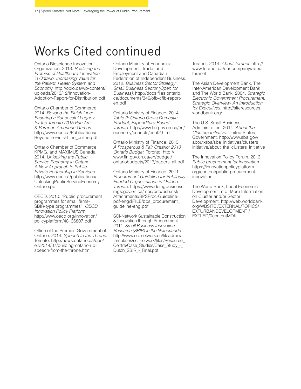# Works Cited continued

Ontario Bioscience Innovation Organization. 2013. *Realizing the Promise of Healthcare Innovation in Ontario: Increasing Value for the Patient, Health System and Econom*y. http://obio.ca/wp-content/ uploads/2013/12/Innovation-Adoption-Report-for-Distribution.pdf

Ontario Chamber of Commerce. 2014. *Beyond the Finish Line: Ensuring a Successful Legacy for the Toronto 2015 Pan Am & Parapan American Games*. http://www.occ.ca/Publications/ BeyondtheFinishLine\_online.pdf

Ontario Chamber of Commerce, KPMG, and MAXIMUS Canada. 2014. *Unlocking the Public Service Economy in Ontario: A New Approach to Public-Private Partnership in Services*. http://www.occ.ca/publications/ UnlockingPublicServiceEconomy Ontario.pdf

OECD. 2010. "Public procurement programmes for small firms-SBIR-type programmes". *OECD Innovation Policy Platform*. http://www.oecd.org/innovation/ policyplatform/48136807.pdf

Office of the Premier, Government of Ontario. 2014. *Speech to the Throne*. Toronto. http://news.ontario.ca/opo/ en/2014/07/building-ontario-upspeech-from-the-throne.html

Ontario Ministry of Economic Development, Trade, and Employment and Canadian Federation of Independent Business. 2012. *Business Sector Strategy: Small Business Sector (Open for Business)*. http://docs.files.ontario. ca/documents/346/ofb-cfib-reporten.pdf

Ontario Ministry of Finance. 2014. *Table 2: Ontario Gross Domestic Product, Expenditure-Based. Toronto*. http://www.fin.gov.on.ca/en/ economy/ecaccts/ecat2.html

Ontario Ministry of Finance. 2013. *A Prosperous & Fair Ontario: 2013 Ontario Budget*. Toronto. http:// www.fin.gov.on.ca/en/budget/ ontariobudgets/2013/papers\_all.pdf

Ontario Ministry of Finance. 2011. *Procurement Guideline for Publically Funded Organizations in Ontario. Toronto.* https://www.doingbusiness. mgs.gov.on.ca/mbs/psb/psb.nsf/ Attachments/BPSProc-Guidelinepdf-eng/\$FILE/bps\_procurement\_ guideline-eng.pdf

SCI-Network Sustainable Construction & Innovation through Procurement. 2011. *Small Business Innovation Research (SBIR) in the Netherlands*. http://www.sci-network.eu/fileadmin/ templates/sci-network/files/Resource\_ Centre/Case\_Studies/Case\_Study\_-\_ Dutch\_SBIR - Final.pdf

Teranet. 2014. *About Teranet*. http:// www.teranet.ca/our-company/aboutteranet

The Asian Development Bank, The Inter-American Development Bank and The World Bank. 2004. *Strategic Electronic Government Procurement: Strategic Overview- An Introduction for Executives*. http://siteresources. worldbank.org/

The U.S. Small Business Administration. 2014. *About the Clusters Initiative*. United States Government. http://www.sba.gov/ about-sba/sba\_initiatives/clusters\_ initiative/about\_the\_clusters\_initiative

The Innovation Policy Forum. 2013. *Public procurement for innovation*. https://innovationpolicyplatform. org/content/public-procurementinnovation

The World Bank, Local Economic Development. n.d. More Information on Cluster and/or Sector Development. http://web.worldbank. org/WBSITE /EXTERNAL/TOPICS/ EXTURBANDEVELOPMENT / EXTLED/0contentMDK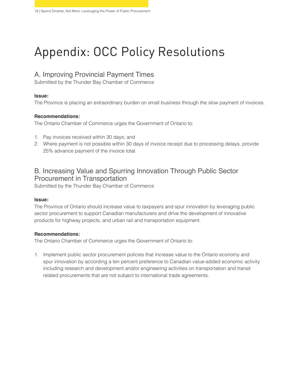# Appendix: OCC Policy Resolutions

### A. Improving Provincial Payment Times

Submitted by the Thunder Bay Chamber of Commerce

#### **Issue:**

The Province is placing an extraordinary burden on small business through the slow payment of invoices.

#### **Recommendations:**

The Ontario Chamber of Commerce urges the Government of Ontario to:

- 1. Pay invoices received within 30 days; and
- 2. Where payment is not possible within 30 days of invoice receipt due to processing delays, provide 25% advance payment of the invoice total.

### B. Increasing Value and Spurring Innovation Through Public Sector Procurement in Transportation

Submitted by the Thunder Bay Chamber of Commerce

#### **Issue:**

The Province of Ontario should increase value to taxpayers and spur innovation by leveraging public sector procurement to support Canadian manufacturers and drive the development of innovative products for highway projects, and urban rail and transportation equipment.

#### **Recommendations:**

The Ontario Chamber of Commerce urges the Government of Ontario to:

1. Implement public sector procurement policies that increase value to the Ontario economy and spur innovation by according a ten percent preference to Canadian value-added economic activity including research and development and/or engineering activities on transportation and transit related procurements that are not subject to international trade agreements.